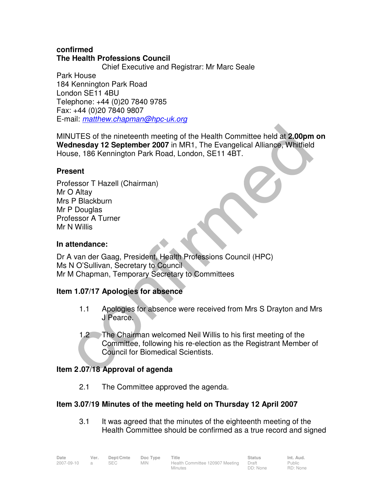### **confirmed The Health Professions Council**

 Chief Executive and Registrar: Mr Marc Seale Park House 184 Kennington Park Road London SE11 4BU Telephone: +44 (0)20 7840 9785 Fax: +44 (0)20 7840 9807 E-mail: matthew.chapman@hpc-uk.org

MINUTES of the nineteenth meeting of the Health Committee held at **2.00pm on Wednesday 12 September 2007** in MR1, The Evangelical Alliance, Whitfield House, 186 Kennington Park Road, London, SE11 4BT.

### **Present**

Professor T Hazell (Chairman) Mr O Altay Mrs P Blackburn Mr P Douglas Professor A Turner Mr N Willis

# **In attendance:**

Dr A van der Gaag, President, Health Professions Council (HPC) Ms N O'Sullivan, Secretary to Council Mr M Chapman, Temporary Secretary to Committees

# **Item 1.07/17 Apologies for absence**

- 1.1 Apologies for absence were received from Mrs S Drayton and Mrs J Pearce.
- 1.2 The Chairman welcomed Neil Willis to his first meeting of the Committee, following his re-election as the Registrant Member of Council for Biomedical Scientists.

### **Item 2 .07/18 Approval of agenda**

2.1 The Committee approved the agenda.

# **Item 3.07/19 Minutes of the meeting held on Thursday 12 April 2007**

3.1 It was agreed that the minutes of the eighteenth meeting of the Health Committee should be confirmed as a true record and signed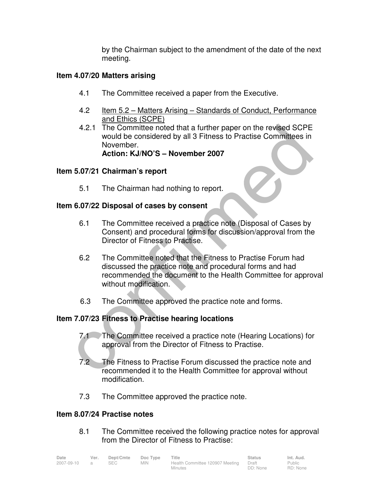by the Chairman subject to the amendment of the date of the next meeting.

### **Item 4.07/20 Matters arising**

- 4.1 The Committee received a paper from the Executive.
- 4.2 Item 5.2 Matters Arising Standards of Conduct, Performance and Ethics (SCPE)
- 4.2.1 The Committee noted that a further paper on the revised SCPE would be considered by all 3 Fitness to Practise Committees in November.

# **Action: KJ/NO'S – November 2007**

### **Item 5.07/21 Chairman's report**

5.1 The Chairman had nothing to report.

### **Item 6.07/22 Disposal of cases by consent**

- 6.1 The Committee received a practice note (Disposal of Cases by Consent) and procedural forms for discussion/approval from the Director of Fitness to Practise.
- 6.2 The Committee noted that the Fitness to Practise Forum had discussed the practice note and procedural forms and had recommended the document to the Health Committee for approval without modification.
- 6.3 The Committee approved the practice note and forms.

### **Item 7.07/23 Fitness to Practise hearing locations**

- 7.1 The Committee received a practice note (Hearing Locations) for approval from the Director of Fitness to Practise.
- 7.2 The Fitness to Practise Forum discussed the practice note and recommended it to the Health Committee for approval without modification.
- 7.3 The Committee approved the practice note.

### **Item 8.07/24 Practise notes**

8.1 The Committee received the following practice notes for approval from the Director of Fitness to Practise:

| Date       | Ver.           | Dept/Cmte  | Doc Type   | Title                                 | <b>Status</b> | Int. Aud. |
|------------|----------------|------------|------------|---------------------------------------|---------------|-----------|
| 2007-09-10 | $\overline{a}$ | <b>SEC</b> | <b>MIN</b> | Health Committee 120907 Meeting Draft |               | Public    |
|            |                |            |            | Minutes                               | DD: None      | RD: None  |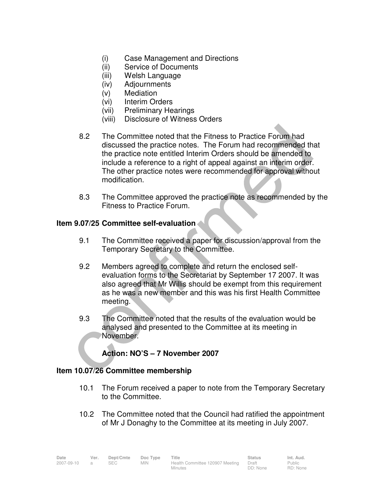- (i) Case Management and Directions
- (ii) Service of Documents
- (iii) Welsh Language
- (iv) Adjournments
- (v) Mediation
- (vi) Interim Orders
- (vii) Preliminary Hearings
- (viii) Disclosure of Witness Orders
- 8.2 The Committee noted that the Fitness to Practice Forum had discussed the practice notes. The Forum had recommended that the practice note entitled Interim Orders should be amended to include a reference to a right of appeal against an interim order. The other practice notes were recommended for approval without modification.
- 8.3 The Committee approved the practice note as recommended by the Fitness to Practice Forum.

#### **Item 9.07/25 Committee self-evaluation**

- 9.1 The Committee received a paper for discussion/approval from the Temporary Secretary to the Committee.
- 9.2 Members agreed to complete and return the enclosed selfevaluation forms to the Secretariat by September 17 2007. It was also agreed that Mr Willis should be exempt from this requirement as he was a new member and this was his first Health Committee meeting.
- 9.3 The Committee noted that the results of the evaluation would be analysed and presented to the Committee at its meeting in November.

### **Action: NO'S – 7 November 2007**

#### **Item 10.07/26 Committee membership**

- 10.1 The Forum received a paper to note from the Temporary Secretary to the Committee.
- 10.2 The Committee noted that the Council had ratified the appointment of Mr J Donaghy to the Committee at its meeting in July 2007.